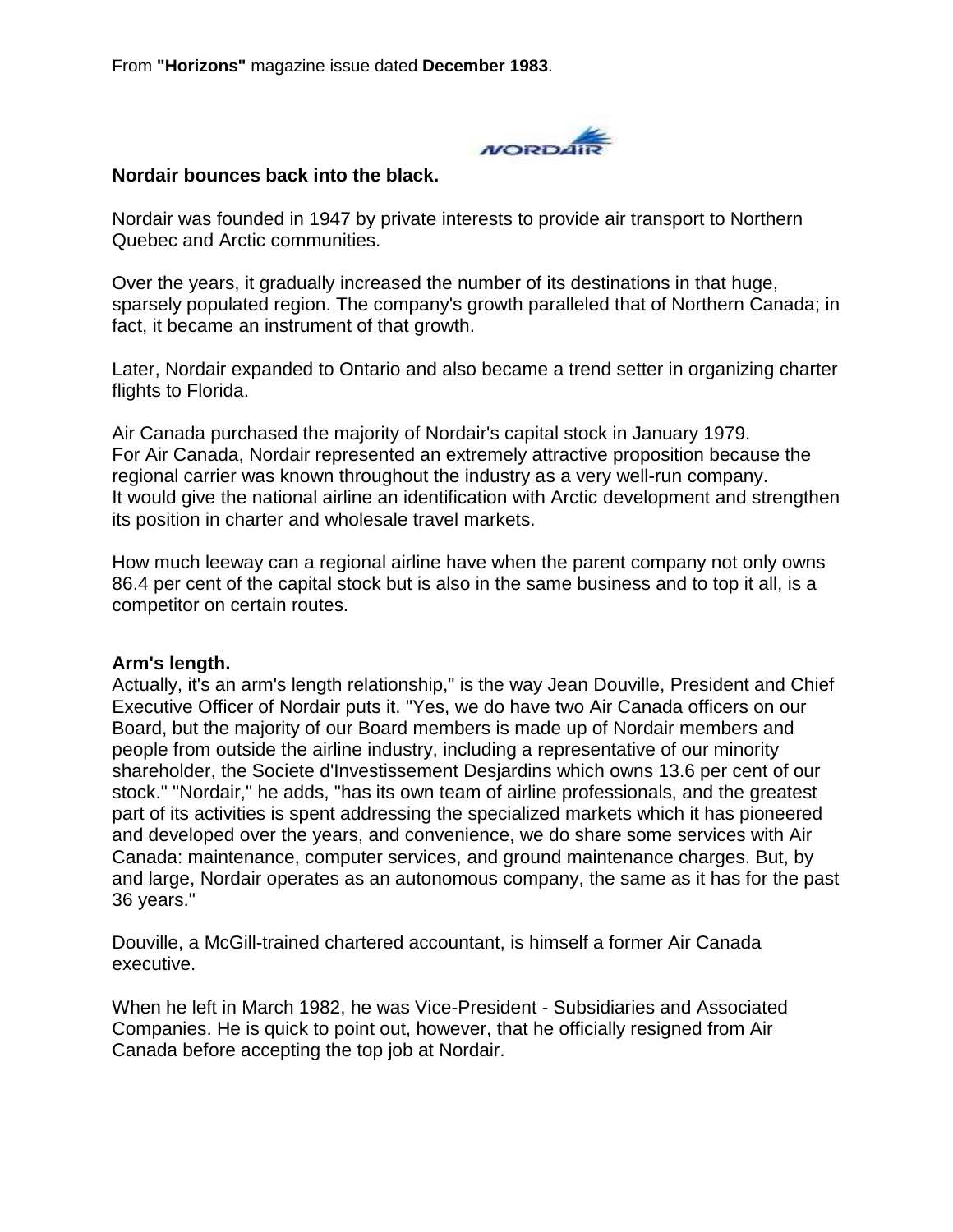From **"Horizons"** magazine issue dated **December 1983**.



#### **Nordair bounces back into the black.**

Nordair was founded in 1947 by private interests to provide air transport to Northern Quebec and Arctic communities.

Over the years, it gradually increased the number of its destinations in that huge, sparsely populated region. The company's growth paralleled that of Northern Canada; in fact, it became an instrument of that growth.

Later, Nordair expanded to Ontario and also became a trend setter in organizing charter flights to Florida.

Air Canada purchased the majority of Nordair's capital stock in January 1979. For Air Canada, Nordair represented an extremely attractive proposition because the regional carrier was known throughout the industry as a very well-run company. It would give the national airline an identification with Arctic development and strengthen its position in charter and wholesale travel markets.

How much leeway can a regional airline have when the parent company not only owns 86.4 per cent of the capital stock but is also in the same business and to top it all, is a competitor on certain routes.

#### **Arm's length.**

Actually, it's an arm's length relationship," is the way Jean Douville, President and Chief Executive Officer of Nordair puts it. "Yes, we do have two Air Canada officers on our Board, but the majority of our Board members is made up of Nordair members and people from outside the airline industry, including a representative of our minority shareholder, the Societe d'Investissement Desjardins which owns 13.6 per cent of our stock." "Nordair," he adds, "has its own team of airline professionals, and the greatest part of its activities is spent addressing the specialized markets which it has pioneered and developed over the years, and convenience, we do share some services with Air Canada: maintenance, computer services, and ground maintenance charges. But, by and large, Nordair operates as an autonomous company, the same as it has for the past 36 years."

Douville, a McGill-trained chartered accountant, is himself a former Air Canada executive.

When he left in March 1982, he was Vice-President - Subsidiaries and Associated Companies. He is quick to point out, however, that he officially resigned from Air Canada before accepting the top job at Nordair.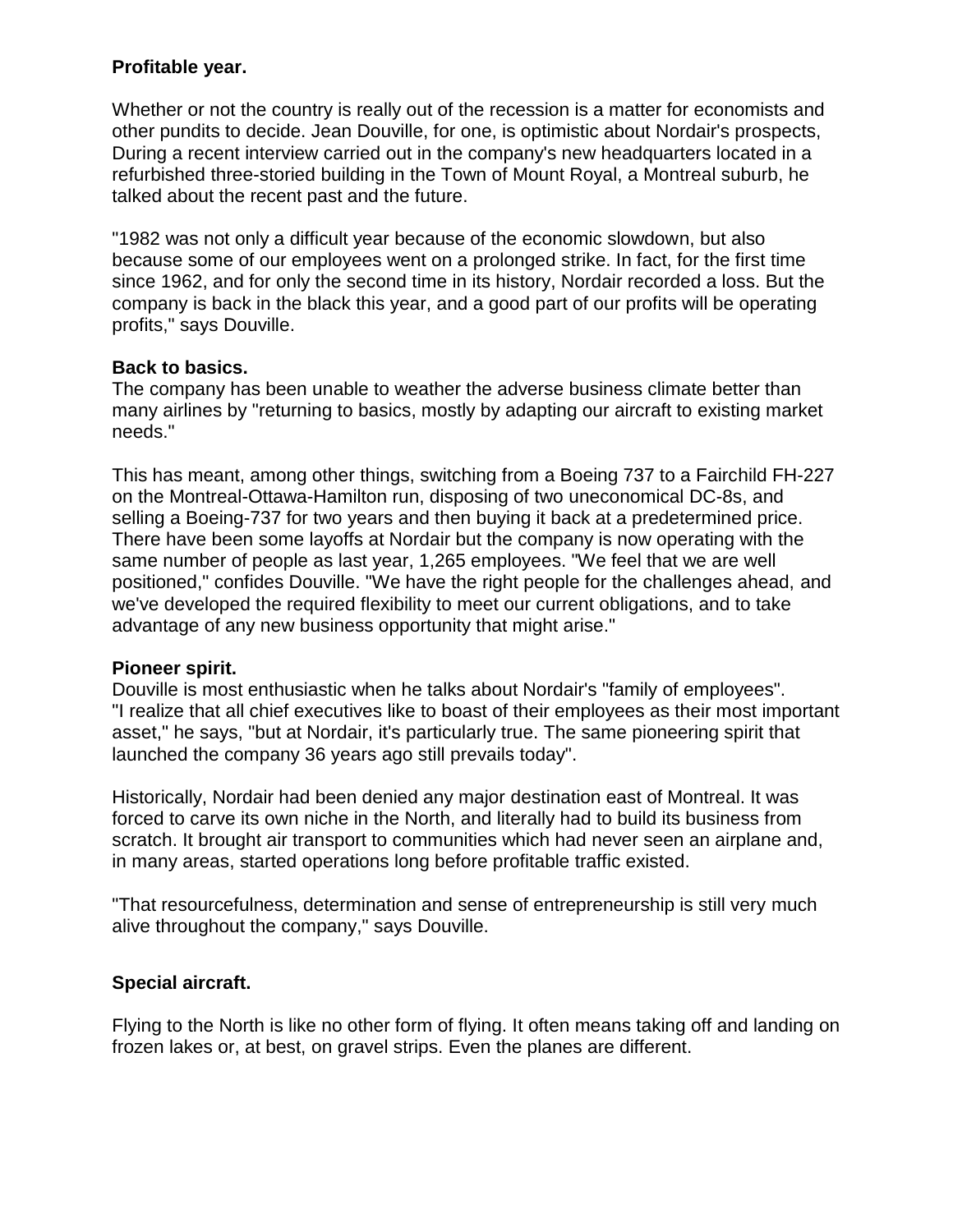### **Profitable year.**

Whether or not the country is really out of the recession is a matter for economists and other pundits to decide. Jean Douville, for one, is optimistic about Nordair's prospects, During a recent interview carried out in the company's new headquarters located in a refurbished three-storied building in the Town of Mount Royal, a Montreal suburb, he talked about the recent past and the future.

"1982 was not only a difficult year because of the economic slowdown, but also because some of our employees went on a prolonged strike. In fact, for the first time since 1962, and for only the second time in its history, Nordair recorded a loss. But the company is back in the black this year, and a good part of our profits will be operating profits," says Douville.

### **Back to basics.**

The company has been unable to weather the adverse business climate better than many airlines by "returning to basics, mostly by adapting our aircraft to existing market needs."

This has meant, among other things, switching from a Boeing 737 to a Fairchild FH-227 on the Montreal-Ottawa-Hamilton run, disposing of two uneconomical DC-8s, and selling a Boeing-737 for two years and then buying it back at a predetermined price. There have been some layoffs at Nordair but the company is now operating with the same number of people as last year, 1,265 employees. "We feel that we are well positioned," confides Douville. "We have the right people for the challenges ahead, and we've developed the required flexibility to meet our current obligations, and to take advantage of any new business opportunity that might arise."

### **Pioneer spirit.**

Douville is most enthusiastic when he talks about Nordair's "family of employees". "I realize that all chief executives like to boast of their employees as their most important asset," he says, "but at Nordair, it's particularly true. The same pioneering spirit that launched the company 36 years ago still prevails today".

Historically, Nordair had been denied any major destination east of Montreal. It was forced to carve its own niche in the North, and literally had to build its business from scratch. It brought air transport to communities which had never seen an airplane and, in many areas, started operations long before profitable traffic existed.

"That resourcefulness, determination and sense of entrepreneurship is still very much alive throughout the company," says Douville.

# **Special aircraft.**

Flying to the North is like no other form of flying. It often means taking off and landing on frozen lakes or, at best, on gravel strips. Even the planes are different.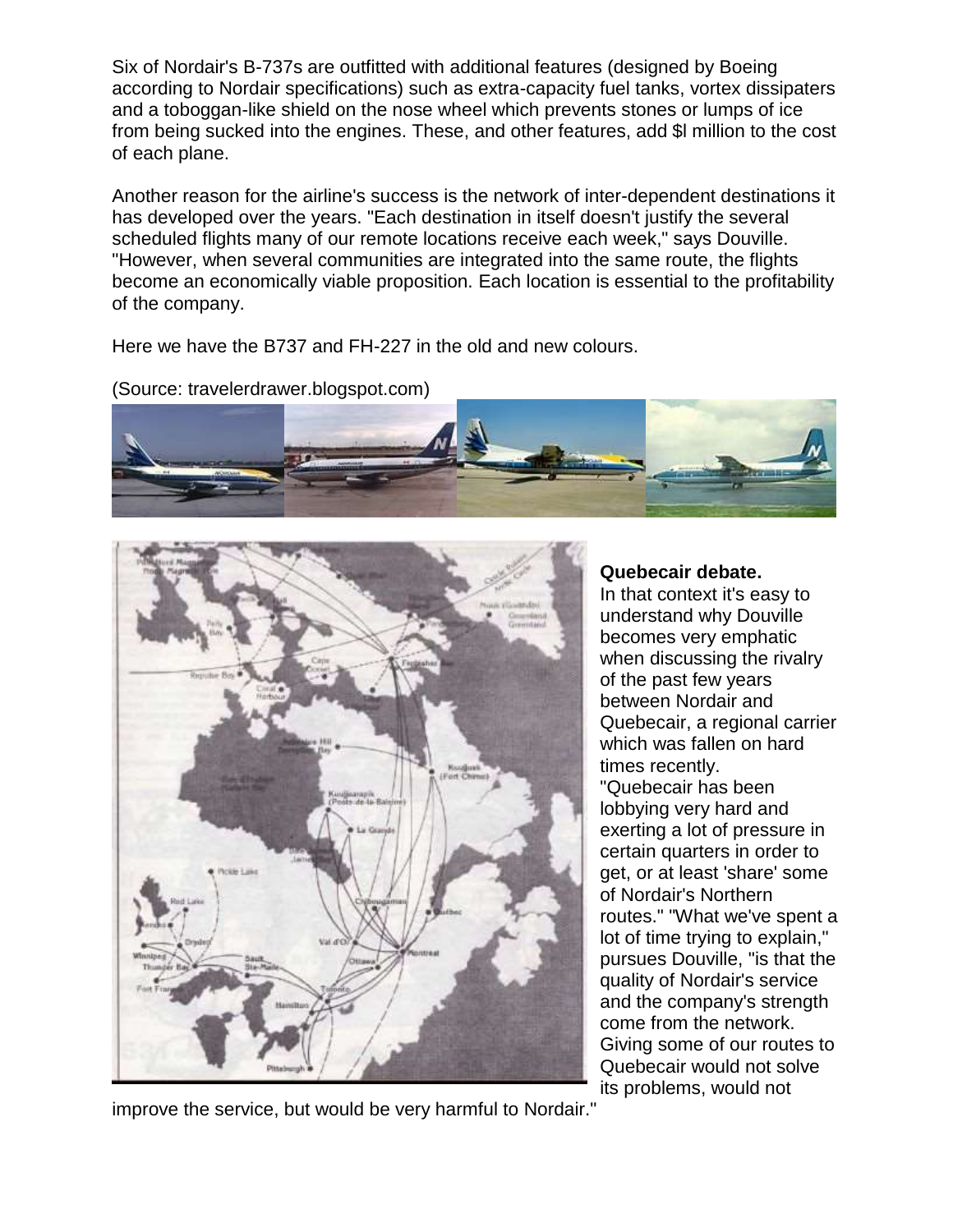Six of Nordair's B-737s are outfitted with additional features (designed by Boeing according to Nordair specifications) such as extra-capacity fuel tanks, vortex dissipaters and a toboggan-like shield on the nose wheel which prevents stones or lumps of ice from being sucked into the engines. These, and other features, add \$l million to the cost of each plane.

Another reason for the airline's success is the network of inter-dependent destinations it has developed over the years. "Each destination in itself doesn't justify the several scheduled flights many of our remote locations receive each week," says Douville. "However, when several communities are integrated into the same route, the flights become an economically viable proposition. Each location is essential to the profitability of the company.

Here we have the B737 and FH-227 in the old and new colours.





**Quebecair debate.**

In that context it's easy to understand why Douville becomes very emphatic when discussing the rivalry of the past few years between Nordair and Quebecair, a regional carrier which was fallen on hard times recently. "Quebecair has been lobbying very hard and exerting a lot of pressure in certain quarters in order to get, or at least 'share' some of Nordair's Northern routes." "What we've spent a lot of time trying to explain," pursues Douville, "is that the quality of Nordair's service and the company's strength come from the network. Giving some of our routes to Quebecair would not solve its problems, would not

improve the service, but would be very harmful to Nordair."

(Source: travelerdrawer.blogspot.com)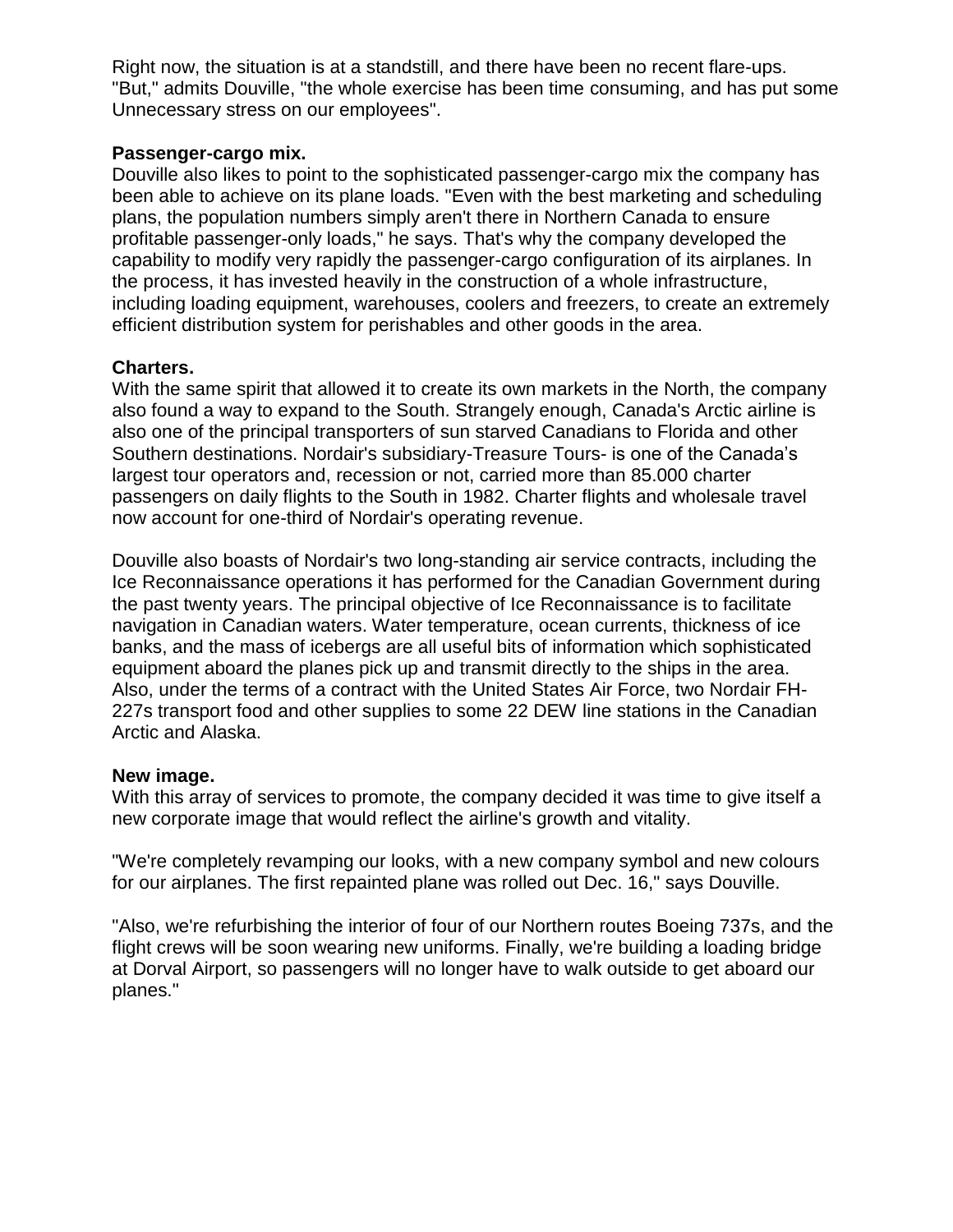Right now, the situation is at a standstill, and there have been no recent flare-ups. "But," admits Douville, "the whole exercise has been time consuming, and has put some Unnecessary stress on our employees".

### **Passenger-cargo mix.**

Douville also likes to point to the sophisticated passenger-cargo mix the company has been able to achieve on its plane loads. "Even with the best marketing and scheduling plans, the population numbers simply aren't there in Northern Canada to ensure profitable passenger-only loads," he says. That's why the company developed the capability to modify very rapidly the passenger-cargo configuration of its airplanes. In the process, it has invested heavily in the construction of a whole infrastructure, including loading equipment, warehouses, coolers and freezers, to create an extremely efficient distribution system for perishables and other goods in the area.

# **Charters.**

With the same spirit that allowed it to create its own markets in the North, the company also found a way to expand to the South. Strangely enough, Canada's Arctic airline is also one of the principal transporters of sun starved Canadians to Florida and other Southern destinations. Nordair's subsidiary-Treasure Tours- is one of the Canada's largest tour operators and, recession or not, carried more than 85.000 charter passengers on daily flights to the South in 1982. Charter flights and wholesale travel now account for one-third of Nordair's operating revenue.

Douville also boasts of Nordair's two long-standing air service contracts, including the Ice Reconnaissance operations it has performed for the Canadian Government during the past twenty years. The principal objective of Ice Reconnaissance is to facilitate navigation in Canadian waters. Water temperature, ocean currents, thickness of ice banks, and the mass of icebergs are all useful bits of information which sophisticated equipment aboard the planes pick up and transmit directly to the ships in the area. Also, under the terms of a contract with the United States Air Force, two Nordair FH-227s transport food and other supplies to some 22 DEW line stations in the Canadian Arctic and Alaska.

# **New image.**

With this array of services to promote, the company decided it was time to give itself a new corporate image that would reflect the airline's growth and vitality.

"We're completely revamping our looks, with a new company symbol and new colours for our airplanes. The first repainted plane was rolled out Dec. 16," says Douville.

"Also, we're refurbishing the interior of four of our Northern routes Boeing 737s, and the flight crews will be soon wearing new uniforms. Finally, we're building a loading bridge at Dorval Airport, so passengers will no longer have to walk outside to get aboard our planes."